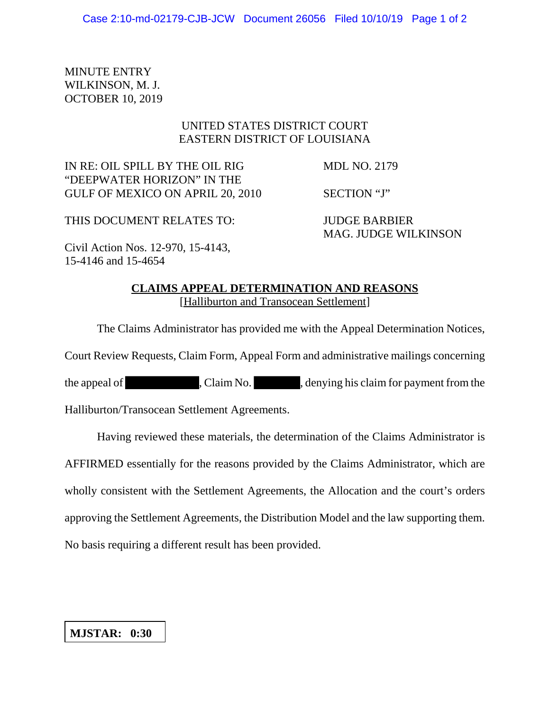MINUTE ENTRY WILKINSON, M. J. OCTOBER 10, 2019

## UNITED STATES DISTRICT COURT EASTERN DISTRICT OF LOUISIANA

IN RE: OIL SPILL BY THE OIL RIG MDL NO. 2179 "DEEPWATER HORIZON" IN THE GULF OF MEXICO ON APRIL 20, 2010 SECTION "J"

THIS DOCUMENT RELATES TO: JUDGE BARBIER

MAG. JUDGE WILKINSON

Civil Action Nos. 12-970, 15-4143, 15-4146 and 15-4654

## **CLAIMS APPEAL DETERMINATION AND REASONS** [Halliburton and Transocean Settlement]

The Claims Administrator has provided me with the Appeal Determination Notices,

Court Review Requests, Claim Form, Appeal Form and administrative mailings concerning

the appeal of , Claim No. , claim solution of the appeal of  $\Box$  , Claim No.

Halliburton/Transocean Settlement Agreements.

Having reviewed these materials, the determination of the Claims Administrator is

AFFIRMED essentially for the reasons provided by the Claims Administrator, which are

wholly consistent with the Settlement Agreements, the Allocation and the court's orders

approving the Settlement Agreements, the Distribution Model and the law supporting them.

No basis requiring a different result has been provided.

## **MJSTAR: 0:30**